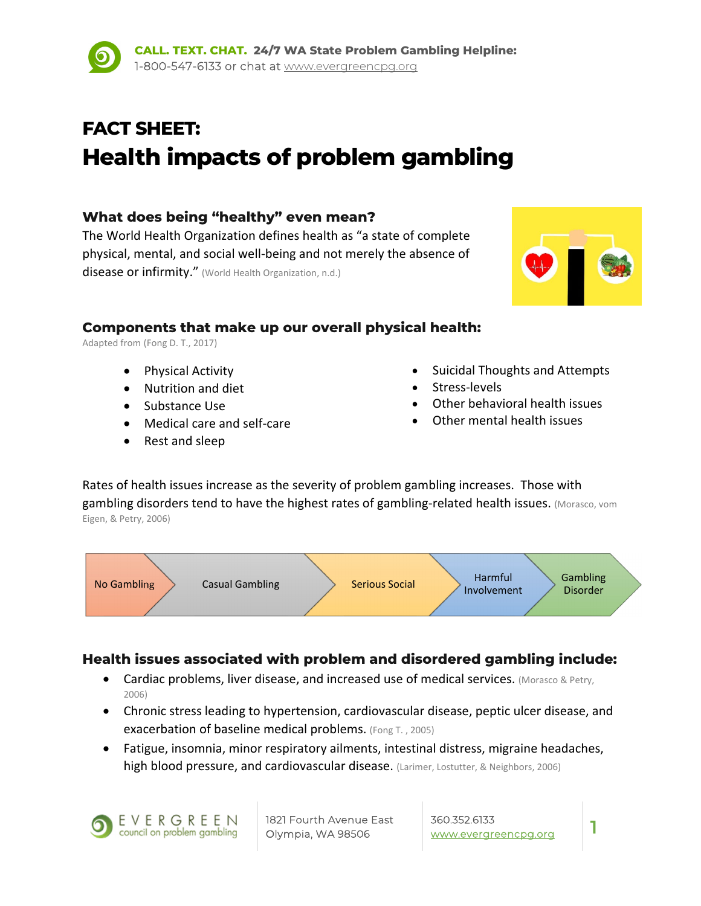# **FACT SHEET: Health impacts of problem gambling**

# **What does being "healthy" even mean?**

The World Health Organization defines health as "a state of complete physical, mental, and social well‐being and not merely the absence of disease or infirmity." (World Health Organization, n.d.)

#### **Components that make up our overall physical health:**

Adapted from (Fong D. T., 2017)

- Physical Activity
- Nutrition and diet
- Substance Use
- Medical care and self-care
- Rest and sleep
- Suicidal Thoughts and Attempts
- Stress‐levels
- Other behavioral health issues
- Other mental health issues

Rates of health issues increase as the severity of problem gambling increases. Those with gambling disorders tend to have the highest rates of gambling-related health issues. (Morasco, vom Eigen, & Petry, 2006)



# **Health issues associated with problem and disordered gambling include:**

- Cardiac problems, liver disease, and increased use of medical services. (Morasco & Petry, 2006)
- Chronic stress leading to hypertension, cardiovascular disease, peptic ulcer disease, and exacerbation of baseline medical problems. (Fong T. , 2005)
- Fatigue, insomnia, minor respiratory ailments, intestinal distress, migraine headaches, high blood pressure, and cardiovascular disease. (Larimer, Lostutter, & Neighbors, 2006)

EVERGREEN council on problem gambling

1821 Fourth Avenue East Olympia, WA 98506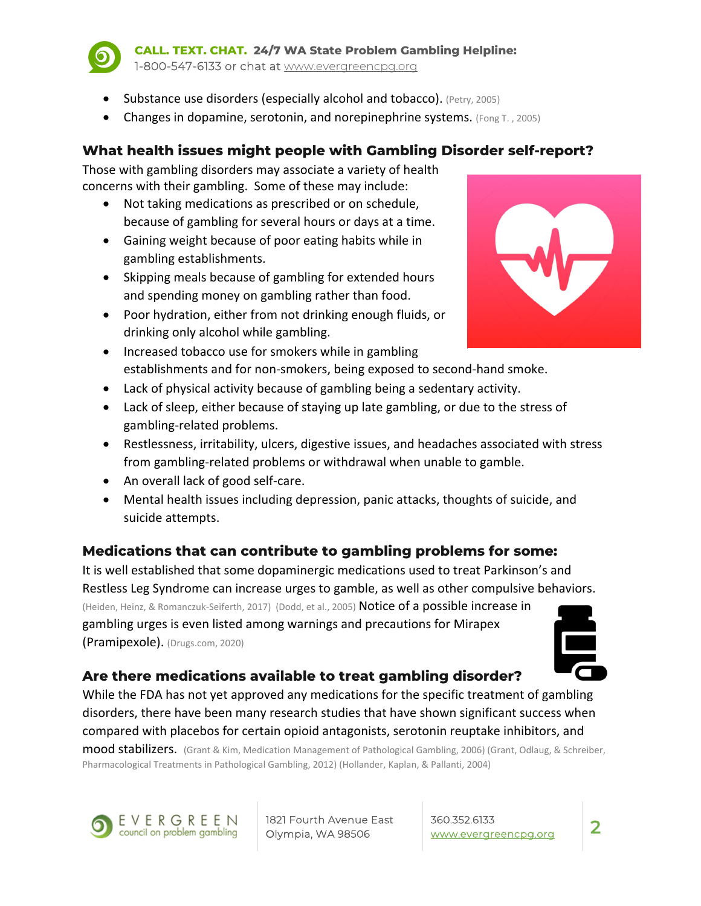

**CALL. TEXT. CHAT. 24/7 WA State Problem Gambling Helpline:**  1-800-547-6133 or chat at www.evergreencpg.org

- Substance use disorders (especially alcohol and tobacco). (Petry, 2005)
- **•** Changes in dopamine, serotonin, and norepinephrine systems. (Fong T., 2005)

### **What health issues might people with Gambling Disorder self-report?**

Those with gambling disorders may associate a variety of health concerns with their gambling. Some of these may include:

- Not taking medications as prescribed or on schedule, because of gambling for several hours or days at a time.
- Gaining weight because of poor eating habits while in gambling establishments.
- Skipping meals because of gambling for extended hours and spending money on gambling rather than food.
- Poor hydration, either from not drinking enough fluids, or drinking only alcohol while gambling.
- Increased tobacco use for smokers while in gambling establishments and for non‐smokers, being exposed to second‐hand smoke.
- Lack of physical activity because of gambling being a sedentary activity.
- Lack of sleep, either because of staying up late gambling, or due to the stress of gambling‐related problems.
- Restlessness, irritability, ulcers, digestive issues, and headaches associated with stress from gambling-related problems or withdrawal when unable to gamble.
- An overall lack of good self-care.
- Mental health issues including depression, panic attacks, thoughts of suicide, and suicide attempts.

#### **Medications that can contribute to gambling problems for some:**

It is well established that some dopaminergic medications used to treat Parkinson's and Restless Leg Syndrome can increase urges to gamble, as well as other compulsive behaviors. (Heiden, Heinz, & Romanczuk‐Seiferth, 2017) (Dodd, et al., 2005) Notice of a possible increase in gambling urges is even listed among warnings and precautions for Mirapex (Pramipexole). (Drugs.com, 2020)



#### **Are there medications available to treat gambling disorder?**

While the FDA has not yet approved any medications for the specific treatment of gambling disorders, there have been many research studies that have shown significant success when compared with placebos for certain opioid antagonists, serotonin reuptake inhibitors, and

mood stabilizers. (Grant & Kim, Medication Management of Pathological Gambling, 2006) (Grant, Odlaug, & Schreiber, Pharmacological Treatments in Pathological Gambling, 2012) (Hollander, Kaplan, & Pallanti, 2004)



1821 Fourth Avenue East Olympia, WA 98506

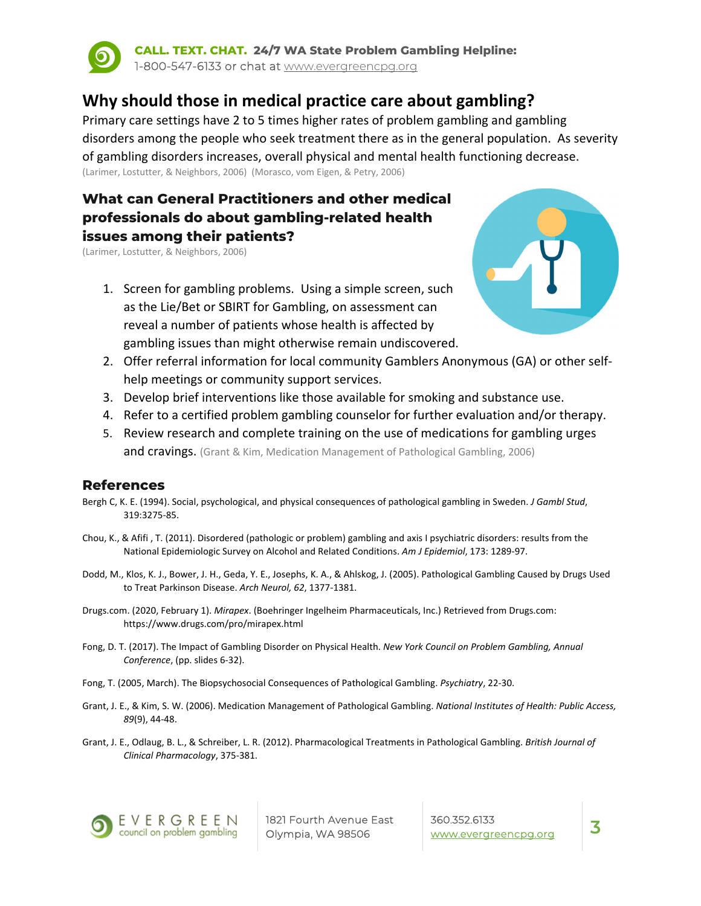

**CALL. TEXT. CHAT. 24/7 WA State Problem Gambling Helpline:**  1-800-547-6133 or chat at www.evergreencpg.org

# **Why should those in medical practice care about gambling?**

Primary care settings have 2 to 5 times higher rates of problem gambling and gambling disorders among the people who seek treatment there as in the general population. As severity of gambling disorders increases, overall physical and mental health functioning decrease. (Larimer, Lostutter, & Neighbors, 2006) (Morasco, vom Eigen, & Petry, 2006)

# **What can General Practitioners and other medical professionals do about gambling-related health issues among their patients?**

(Larimer, Lostutter, & Neighbors, 2006)

1. Screen for gambling problems. Using a simple screen, such as the Lie/Bet or SBIRT for Gambling, on assessment can reveal a number of patients whose health is affected by gambling issues than might otherwise remain undiscovered.



- 2. Offer referral information for local community Gamblers Anonymous (GA) or other self‐ help meetings or community support services.
- 3. Develop brief interventions like those available for smoking and substance use.
- 4. Refer to a certified problem gambling counselor for further evaluation and/or therapy.
- 5. Review research and complete training on the use of medications for gambling urges and cravings. (Grant & Kim, Medication Management of Pathological Gambling, 2006)

#### **References**

- Bergh C, K. E. (1994). Social, psychological, and physical consequences of pathological gambling in Sweden. *J Gambl Stud*, 319:3275‐85.
- Chou, K., & Afifi , T. (2011). Disordered (pathologic or problem) gambling and axis I psychiatric disorders: results from the National Epidemiologic Survey on Alcohol and Related Conditions. *Am J Epidemiol*, 173: 1289‐97.
- Dodd, M., Klos, K. J., Bower, J. H., Geda, Y. E., Josephs, K. A., & Ahlskog, J. (2005). Pathological Gambling Caused by Drugs Used to Treat Parkinson Disease. *Arch Neurol, 62*, 1377‐1381.
- Drugs.com. (2020, February 1). *Mirapex*. (Boehringer Ingelheim Pharmaceuticals, Inc.) Retrieved from Drugs.com: https://www.drugs.com/pro/mirapex.html
- Fong, D. T. (2017). The Impact of Gambling Disorder on Physical Health. *New York Council on Problem Gambling, Annual Conference*, (pp. slides 6‐32).
- Fong, T. (2005, March). The Biopsychosocial Consequences of Pathological Gambling. *Psychiatry*, 22‐30.
- Grant, J. E., & Kim, S. W. (2006). Medication Management of Pathological Gambling. *National Institutes of Health: Public Access, 89*(9), 44‐48.
- Grant, J. E., Odlaug, B. L., & Schreiber, L. R. (2012). Pharmacological Treatments in Pathological Gambling. *British Journal of Clinical Pharmacology*, 375‐381.